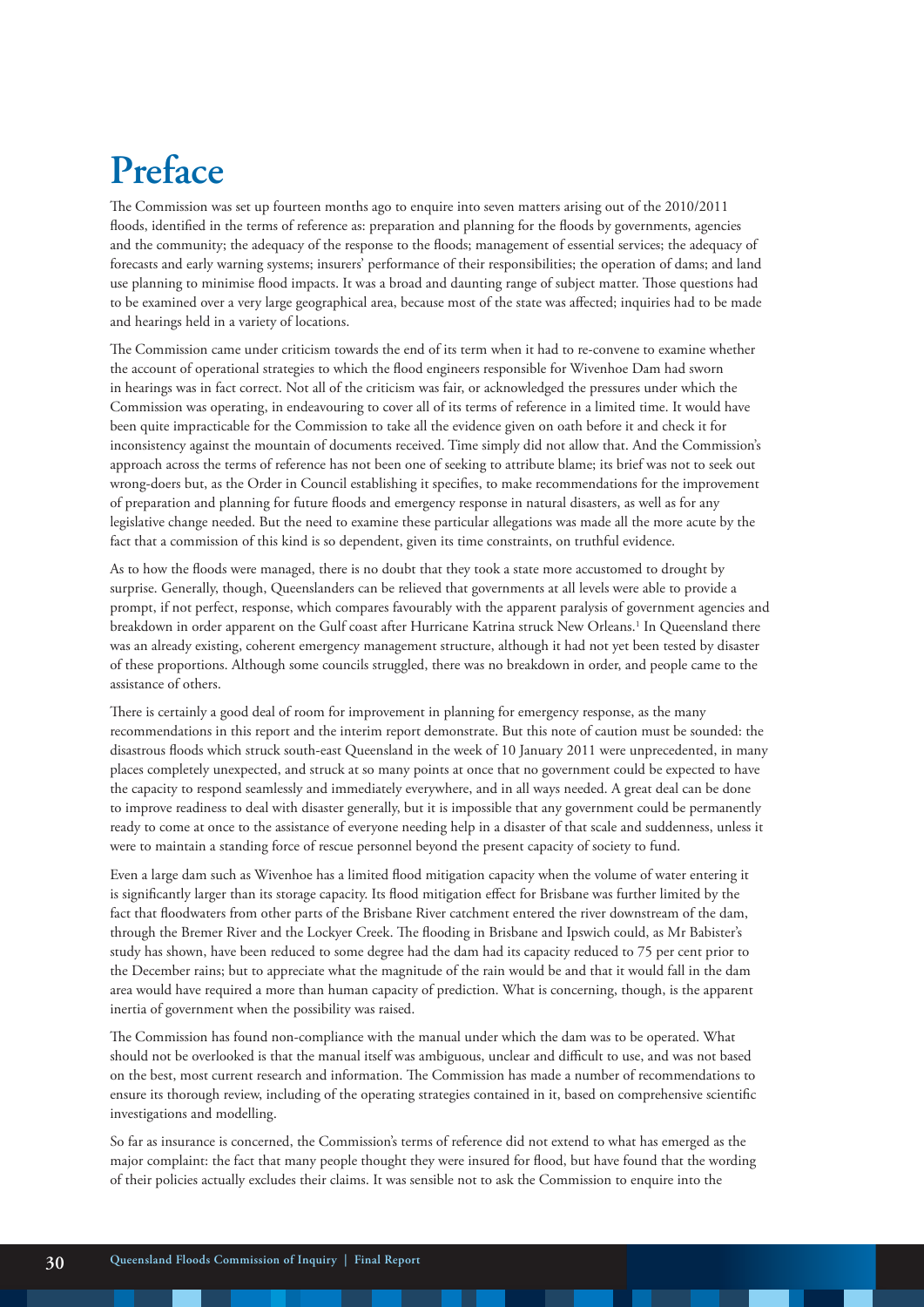# **Preface**

The Commission was set up fourteen months ago to enquire into seven matters arising out of the 2010/2011 floods, identified in the terms of reference as: preparation and planning for the floods by governments, agencies and the community; the adequacy of the response to the floods; management of essential services; the adequacy of forecasts and early warning systems; insurers' performance of their responsibilities; the operation of dams; and land use planning to minimise flood impacts. It was a broad and daunting range of subject matter. Those questions had to be examined over a very large geographical area, because most of the state was affected; inquiries had to be made and hearings held in a variety of locations.

The Commission came under criticism towards the end of its term when it had to re-convene to examine whether the account of operational strategies to which the flood engineers responsible for Wivenhoe Dam had sworn in hearings was in fact correct. Not all of the criticism was fair, or acknowledged the pressures under which the Commission was operating, in endeavouring to cover all of its terms of reference in a limited time. It would have been quite impracticable for the Commission to take all the evidence given on oath before it and check it for inconsistency against the mountain of documents received. Time simply did not allow that. And the Commission's approach across the terms of reference has not been one of seeking to attribute blame; its brief was not to seek out wrong-doers but, as the Order in Council establishing it specifies, to make recommendations for the improvement of preparation and planning for future floods and emergency response in natural disasters, as well as for any legislative change needed. But the need to examine these particular allegations was made all the more acute by the fact that a commission of this kind is so dependent, given its time constraints, on truthful evidence.

As to how the floods were managed, there is no doubt that they took a state more accustomed to drought by surprise. Generally, though, Queenslanders can be relieved that governments at all levels were able to provide a prompt, if not perfect, response, which compares favourably with the apparent paralysis of government agencies and breakdown in order apparent on the Gulf coast after Hurricane Katrina struck New Orleans.1 In Queensland there was an already existing, coherent emergency management structure, although it had not yet been tested by disaster of these proportions. Although some councils struggled, there was no breakdown in order, and people came to the assistance of others.

There is certainly a good deal of room for improvement in planning for emergency response, as the many recommendations in this report and the interim report demonstrate. But this note of caution must be sounded: the disastrous floods which struck south-east Queensland in the week of 10 January 2011 were unprecedented, in many places completely unexpected, and struck at so many points at once that no government could be expected to have the capacity to respond seamlessly and immediately everywhere, and in all ways needed. A great deal can be done to improve readiness to deal with disaster generally, but it is impossible that any government could be permanently ready to come at once to the assistance of everyone needing help in a disaster of that scale and suddenness, unless it were to maintain a standing force of rescue personnel beyond the present capacity of society to fund.

Even a large dam such as Wivenhoe has a limited flood mitigation capacity when the volume of water entering it is significantly larger than its storage capacity. Its flood mitigation effect for Brisbane was further limited by the fact that floodwaters from other parts of the Brisbane River catchment entered the river downstream of the dam, through the Bremer River and the Lockyer Creek. The flooding in Brisbane and Ipswich could, as Mr Babister's study has shown, have been reduced to some degree had the dam had its capacity reduced to 75 per cent prior to the December rains; but to appreciate what the magnitude of the rain would be and that it would fall in the dam area would have required a more than human capacity of prediction. What is concerning, though, is the apparent inertia of government when the possibility was raised.

The Commission has found non-compliance with the manual under which the dam was to be operated. What should not be overlooked is that the manual itself was ambiguous, unclear and difficult to use, and was not based on the best, most current research and information. The Commission has made a number of recommendations to ensure its thorough review, including of the operating strategies contained in it, based on comprehensive scientific investigations and modelling.

So far as insurance is concerned, the Commission's terms of reference did not extend to what has emerged as the major complaint: the fact that many people thought they were insured for flood, but have found that the wording of their policies actually excludes their claims. It was sensible not to ask the Commission to enquire into the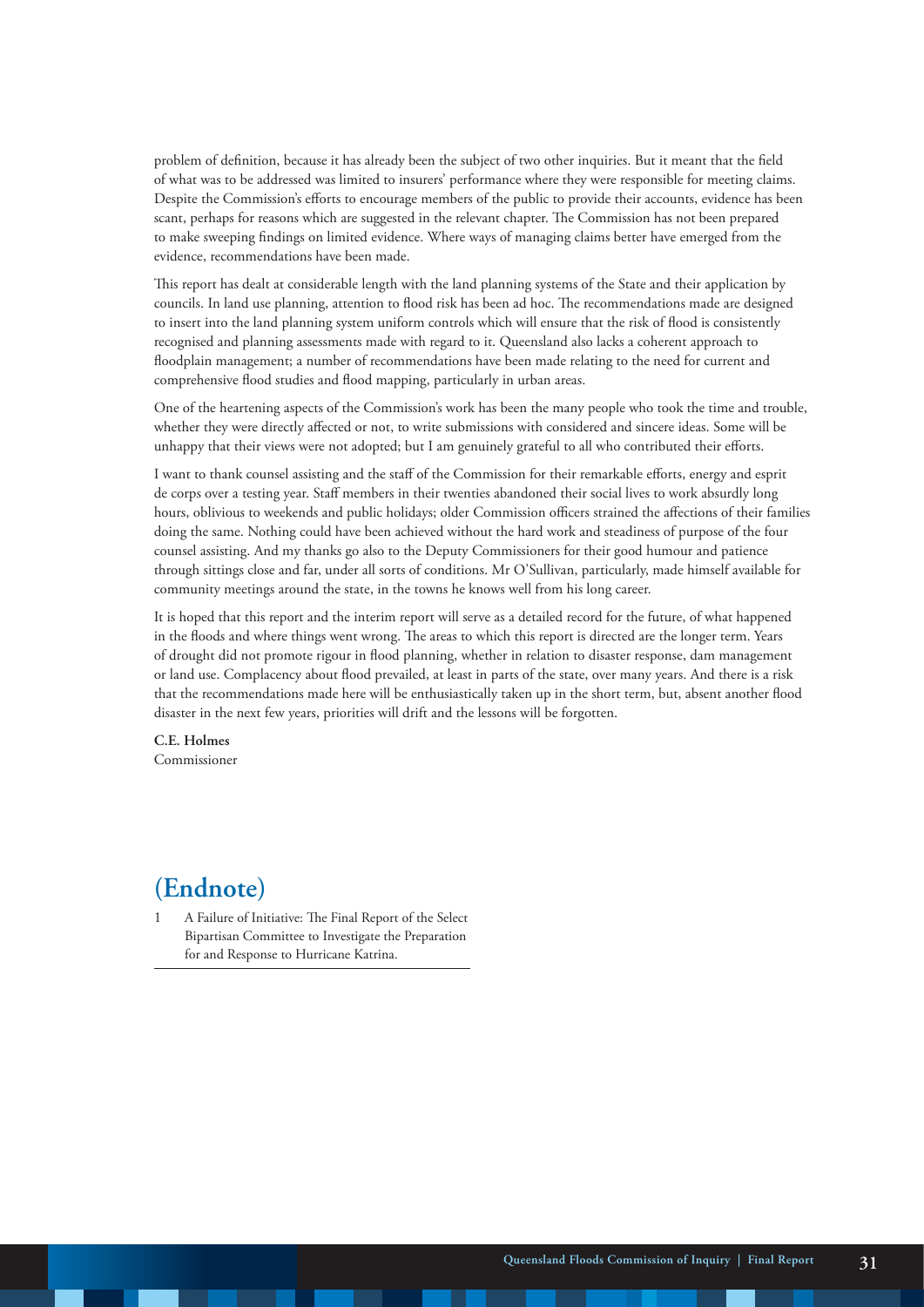problem of definition, because it has already been the subject of two other inquiries. But it meant that the field of what was to be addressed was limited to insurers' performance where they were responsible for meeting claims. Despite the Commission's efforts to encourage members of the public to provide their accounts, evidence has been scant, perhaps for reasons which are suggested in the relevant chapter. The Commission has not been prepared to make sweeping findings on limited evidence. Where ways of managing claims better have emerged from the evidence, recommendations have been made.

This report has dealt at considerable length with the land planning systems of the State and their application by councils. In land use planning, attention to flood risk has been ad hoc. The recommendations made are designed to insert into the land planning system uniform controls which will ensure that the risk of flood is consistently recognised and planning assessments made with regard to it. Queensland also lacks a coherent approach to floodplain management; a number of recommendations have been made relating to the need for current and comprehensive flood studies and flood mapping, particularly in urban areas.

One of the heartening aspects of the Commission's work has been the many people who took the time and trouble, whether they were directly affected or not, to write submissions with considered and sincere ideas. Some will be unhappy that their views were not adopted; but I am genuinely grateful to all who contributed their efforts.

I want to thank counsel assisting and the staff of the Commission for their remarkable efforts, energy and esprit de corps over a testing year. Staff members in their twenties abandoned their social lives to work absurdly long hours, oblivious to weekends and public holidays; older Commission officers strained the affections of their families doing the same. Nothing could have been achieved without the hard work and steadiness of purpose of the four counsel assisting. And my thanks go also to the Deputy Commissioners for their good humour and patience through sittings close and far, under all sorts of conditions. Mr O'Sullivan, particularly, made himself available for community meetings around the state, in the towns he knows well from his long career.

It is hoped that this report and the interim report will serve as a detailed record for the future, of what happened in the floods and where things went wrong. The areas to which this report is directed are the longer term. Years of drought did not promote rigour in flood planning, whether in relation to disaster response, dam management or land use. Complacency about flood prevailed, at least in parts of the state, over many years. And there is a risk that the recommendations made here will be enthusiastically taken up in the short term, but, absent another flood disaster in the next few years, priorities will drift and the lessons will be forgotten.

**C.E. Holmes** Commissioner

#### **(Endnote)**

1 A Failure of Initiative: The Final Report of the Select Bipartisan Committee to Investigate the Preparation for and Response to Hurricane Katrina.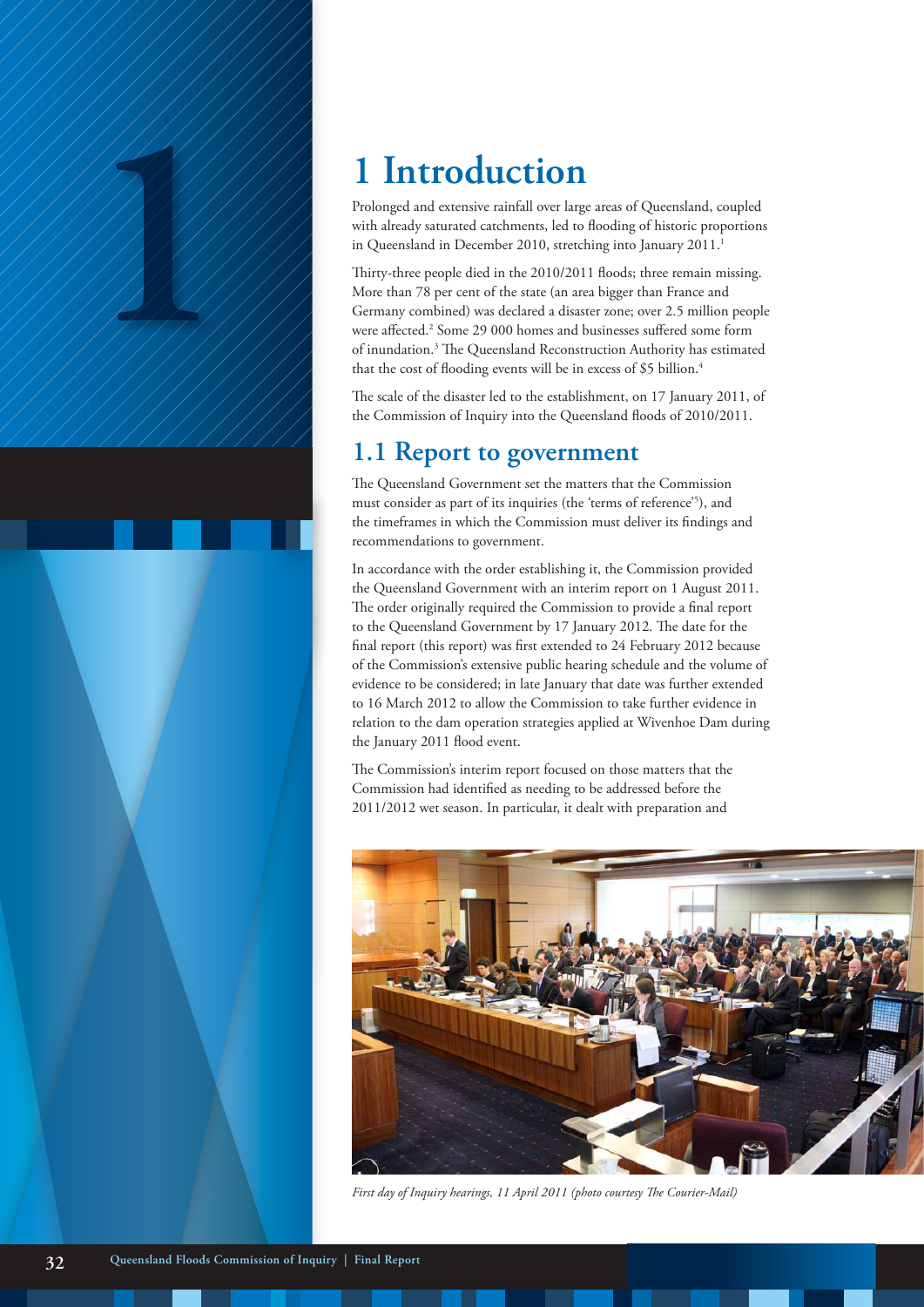

Prolonged and extensive rainfall over large areas of Queensland, coupled with already saturated catchments, led to flooding of historic proportions in Queensland in December 2010, stretching into January 2011.<sup>1</sup>

**1 Introduction**<br>
Prolonged and extensive rainfall over large<br>
with already saturated catchments, led to<br>
in Queensland in December 2010, stretch<br>
Thirty-three people died in the 2010/201<br>
More than 78 per cent of the st Thirty-three people died in the 2010/2011 floods; three remain missing. More than 78 per cent of the state (an area bigger than France and Germany combined) was declared a disaster zone; over 2.5 million people were affected.<sup>2</sup> Some 29 000 homes and businesses suffered some form of inundation.<sup>3</sup> The Queensland Reconstruction Authority has estimated that the cost of flooding events will be in excess of \$5 billion.<sup>4</sup>

> The scale of the disaster led to the establishment, on 17 January 2011, of the Commission of Inquiry into the Queensland floods of 2010/2011.

#### **1.1 Report to government**

The Queensland Government set the matters that the Commission must consider as part of its inquiries (the 'terms of reference'5 ), and the timeframes in which the Commission must deliver its findings and recommendations to government.

In accordance with the order establishing it, the Commission provided the Queensland Government with an interim report on 1 August 2011. The order originally required the Commission to provide a final report to the Queensland Government by 17 January 2012. The date for the final report (this report) was first extended to 24 February 2012 because of the Commission's extensive public hearing schedule and the volume of evidence to be considered; in late January that date was further extended to 16 March 2012 to allow the Commission to take further evidence in relation to the dam operation strategies applied at Wivenhoe Dam during the January 2011 flood event.

The Commission's interim report focused on those matters that the Commission had identified as needing to be addressed before the 2011/2012 wet season. In particular, it dealt with preparation and



*First day of Inquiry hearings, 11 April 2011 (photo courtesy The Courier-Mail)*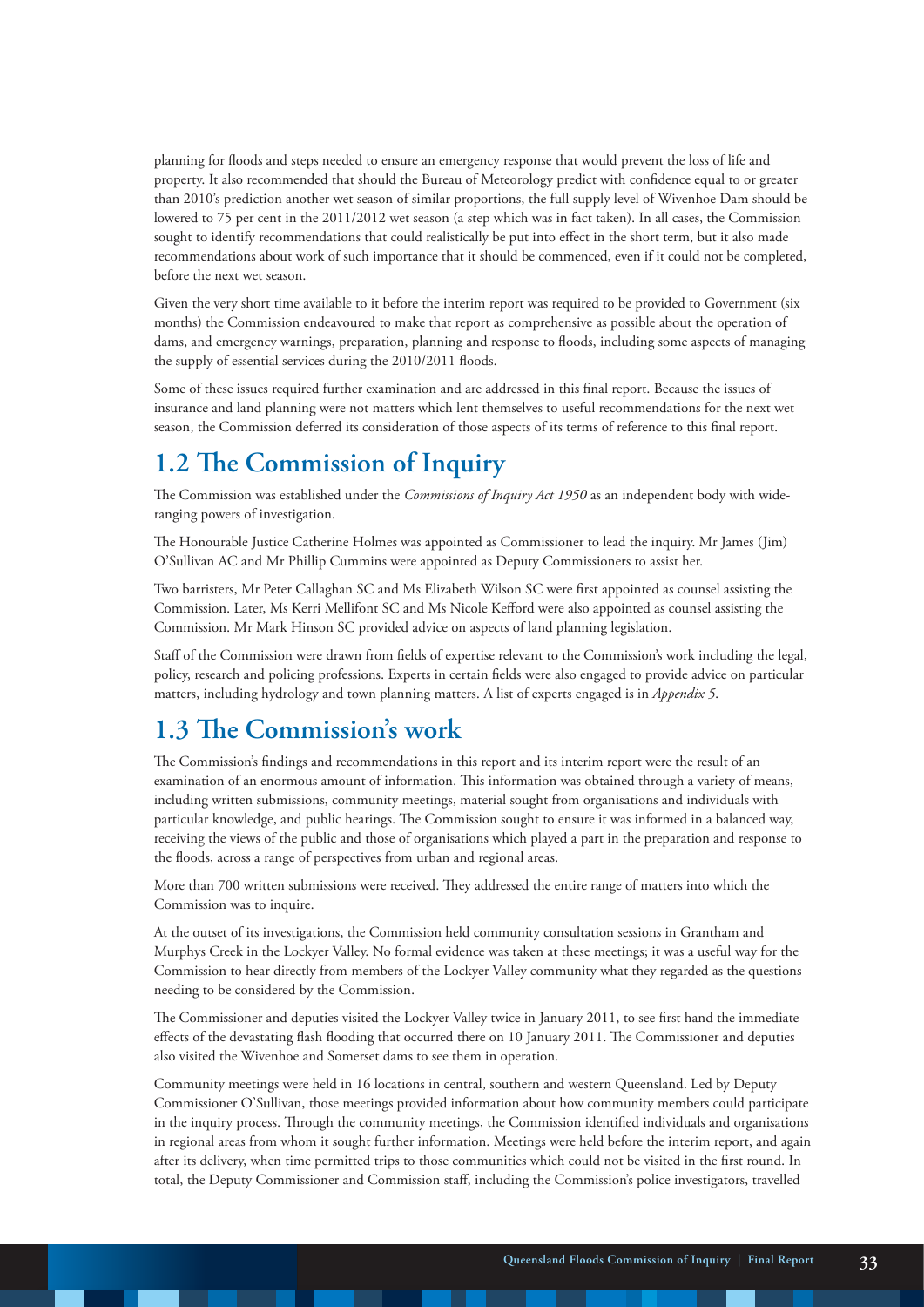planning for floods and steps needed to ensure an emergency response that would prevent the loss of life and property. It also recommended that should the Bureau of Meteorology predict with confidence equal to or greater than 2010's prediction another wet season of similar proportions, the full supply level of Wivenhoe Dam should be lowered to 75 per cent in the 2011/2012 wet season (a step which was in fact taken). In all cases, the Commission sought to identify recommendations that could realistically be put into effect in the short term, but it also made recommendations about work of such importance that it should be commenced, even if it could not be completed, before the next wet season.

Given the very short time available to it before the interim report was required to be provided to Government (six months) the Commission endeavoured to make that report as comprehensive as possible about the operation of dams, and emergency warnings, preparation, planning and response to floods, including some aspects of managing the supply of essential services during the 2010/2011 floods.

Some of these issues required further examination and are addressed in this final report. Because the issues of insurance and land planning were not matters which lent themselves to useful recommendations for the next wet season, the Commission deferred its consideration of those aspects of its terms of reference to this final report.

## **1.2 The Commission of Inquiry**

The Commission was established under the *Commissions of Inquiry Act 1950* as an independent body with wideranging powers of investigation.

The Honourable Justice Catherine Holmes was appointed as Commissioner to lead the inquiry. Mr James (Jim) O'Sullivan AC and Mr Phillip Cummins were appointed as Deputy Commissioners to assist her.

Two barristers, Mr Peter Callaghan SC and Ms Elizabeth Wilson SC were first appointed as counsel assisting the Commission. Later, Ms Kerri Mellifont SC and Ms Nicole Kefford were also appointed as counsel assisting the Commission. Mr Mark Hinson SC provided advice on aspects of land planning legislation.

Staff of the Commission were drawn from fields of expertise relevant to the Commission's work including the legal, policy, research and policing professions. Experts in certain fields were also engaged to provide advice on particular matters, including hydrology and town planning matters. A list of experts engaged is in *Appendix 5*.

#### **1.3 The Commission's work**

The Commission's findings and recommendations in this report and its interim report were the result of an examination of an enormous amount of information. This information was obtained through a variety of means, including written submissions, community meetings, material sought from organisations and individuals with particular knowledge, and public hearings. The Commission sought to ensure it was informed in a balanced way, receiving the views of the public and those of organisations which played a part in the preparation and response to the floods, across a range of perspectives from urban and regional areas.

More than 700 written submissions were received. They addressed the entire range of matters into which the Commission was to inquire.

At the outset of its investigations, the Commission held community consultation sessions in Grantham and Murphys Creek in the Lockyer Valley. No formal evidence was taken at these meetings; it was a useful way for the Commission to hear directly from members of the Lockyer Valley community what they regarded as the questions needing to be considered by the Commission.

The Commissioner and deputies visited the Lockyer Valley twice in January 2011, to see first hand the immediate effects of the devastating flash flooding that occurred there on 10 January 2011. The Commissioner and deputies also visited the Wivenhoe and Somerset dams to see them in operation.

Community meetings were held in 16 locations in central, southern and western Queensland. Led by Deputy Commissioner O'Sullivan, those meetings provided information about how community members could participate in the inquiry process. Through the community meetings, the Commission identified individuals and organisations in regional areas from whom it sought further information. Meetings were held before the interim report, and again after its delivery, when time permitted trips to those communities which could not be visited in the first round. In total, the Deputy Commissioner and Commission staff, including the Commission's police investigators, travelled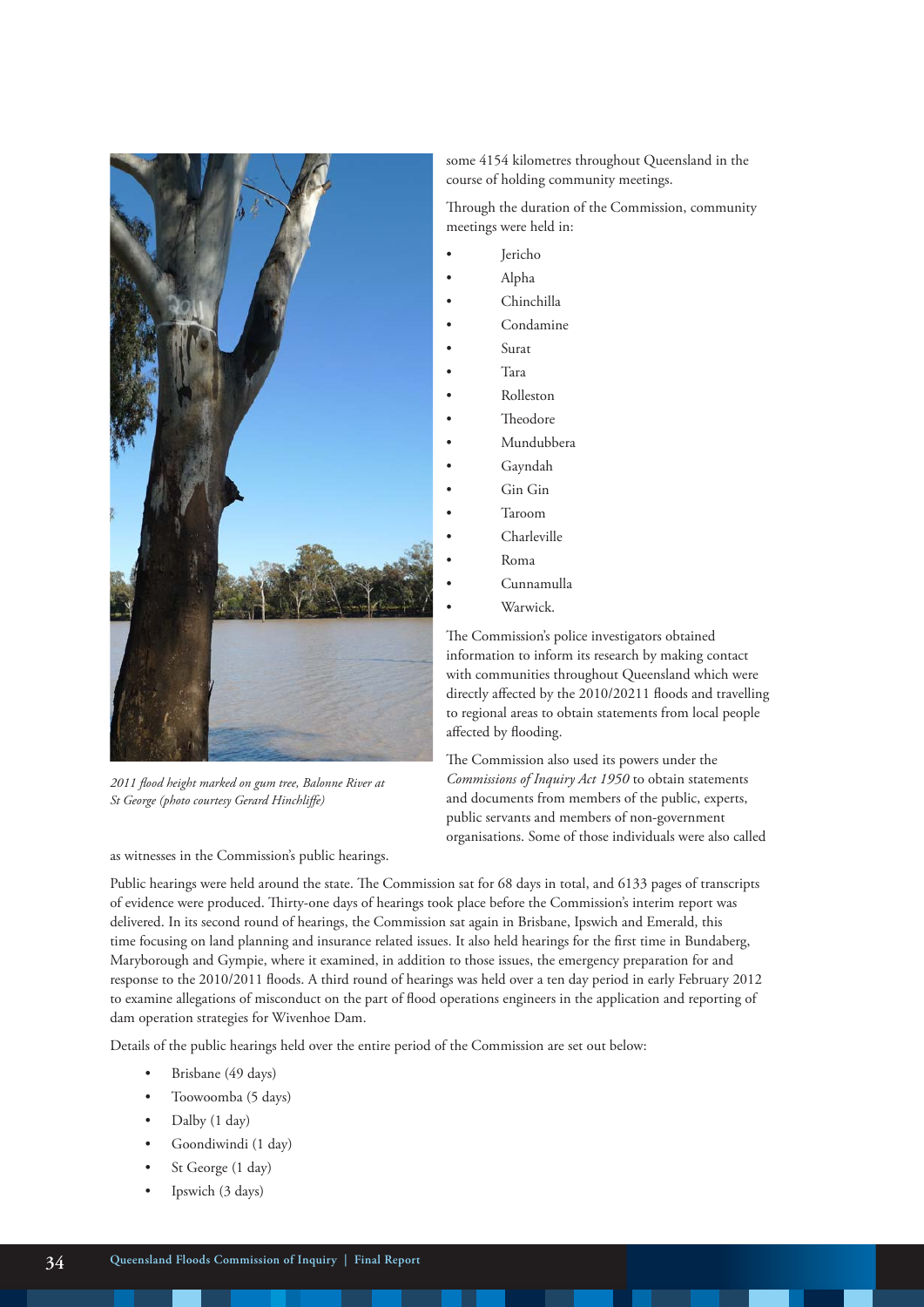

*2011 flood height marked on gum tree, Balonne River at St George (photo courtesy Gerard Hinchliffe)*

as witnesses in the Commission's public hearings.

some 4154 kilometres throughout Queensland in the course of holding community meetings.

Through the duration of the Commission, community meetings were held in:

- Jericho
- Alpha
- Chinchilla
- Condamine
- Surat
- Tara
- Rolleston
- Theodore
- Mundubbera
- Gayndah
- Gin Gin
- Taroom
- Charleville
- Roma
- Cunnamulla
- Warwick.

The Commission's police investigators obtained information to inform its research by making contact with communities throughout Queensland which were directly affected by the 2010/20211 floods and travelling to regional areas to obtain statements from local people affected by flooding.

The Commission also used its powers under the *Commissions of Inquiry Act 1950* to obtain statements and documents from members of the public, experts, public servants and members of non-government organisations. Some of those individuals were also called

Public hearings were held around the state. The Commission sat for 68 days in total, and 6133 pages of transcripts of evidence were produced. Thirty-one days of hearings took place before the Commission's interim report was delivered. In its second round of hearings, the Commission sat again in Brisbane, Ipswich and Emerald, this time focusing on land planning and insurance related issues. It also held hearings for the first time in Bundaberg, Maryborough and Gympie, where it examined, in addition to those issues, the emergency preparation for and response to the 2010/2011 floods. A third round of hearings was held over a ten day period in early February 2012 to examine allegations of misconduct on the part of flood operations engineers in the application and reporting of dam operation strategies for Wivenhoe Dam.

Details of the public hearings held over the entire period of the Commission are set out below:

- Brisbane (49 days)
- Toowoomba (5 days)
- Dalby (1 day)
- Goondiwindi (1 day)
- St George (1 day)
- Ipswich (3 days)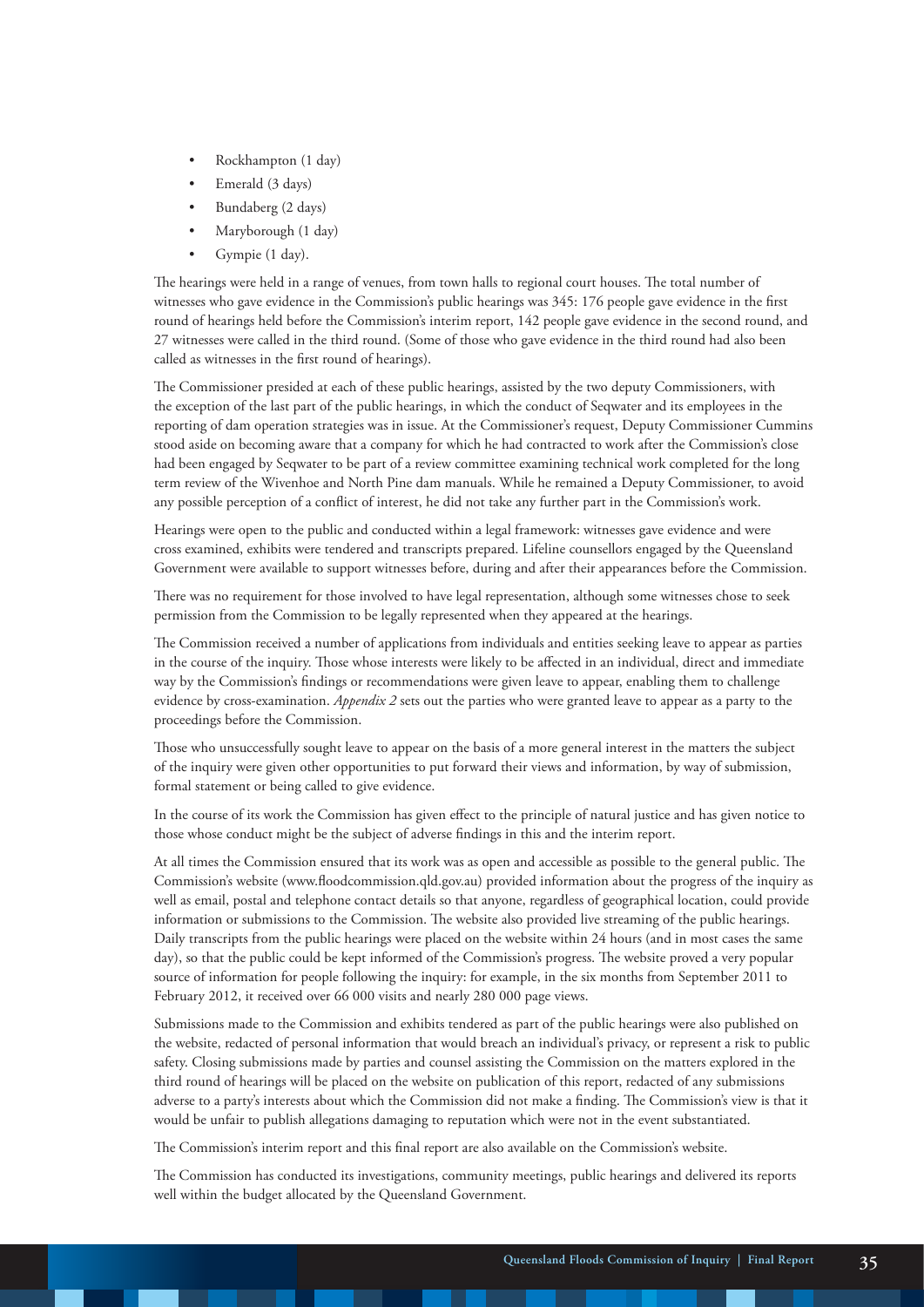- Rockhampton (1 day)
- Emerald (3 days)
- Bundaberg (2 days)
- Maryborough (1 day)
- Gympie (1 day).

The hearings were held in a range of venues, from town halls to regional court houses. The total number of witnesses who gave evidence in the Commission's public hearings was 345: 176 people gave evidence in the first round of hearings held before the Commission's interim report, 142 people gave evidence in the second round, and 27 witnesses were called in the third round. (Some of those who gave evidence in the third round had also been called as witnesses in the first round of hearings).

The Commissioner presided at each of these public hearings, assisted by the two deputy Commissioners, with the exception of the last part of the public hearings, in which the conduct of Seqwater and its employees in the reporting of dam operation strategies was in issue. At the Commissioner's request, Deputy Commissioner Cummins stood aside on becoming aware that a company for which he had contracted to work after the Commission's close had been engaged by Seqwater to be part of a review committee examining technical work completed for the long term review of the Wivenhoe and North Pine dam manuals. While he remained a Deputy Commissioner, to avoid any possible perception of a conflict of interest, he did not take any further part in the Commission's work.

Hearings were open to the public and conducted within a legal framework: witnesses gave evidence and were cross examined, exhibits were tendered and transcripts prepared. Lifeline counsellors engaged by the Queensland Government were available to support witnesses before, during and after their appearances before the Commission.

There was no requirement for those involved to have legal representation, although some witnesses chose to seek permission from the Commission to be legally represented when they appeared at the hearings.

The Commission received a number of applications from individuals and entities seeking leave to appear as parties in the course of the inquiry. Those whose interests were likely to be affected in an individual, direct and immediate way by the Commission's findings or recommendations were given leave to appear, enabling them to challenge evidence by cross-examination. *Appendix 2* sets out the parties who were granted leave to appear as a party to the proceedings before the Commission.

Those who unsuccessfully sought leave to appear on the basis of a more general interest in the matters the subject of the inquiry were given other opportunities to put forward their views and information, by way of submission, formal statement or being called to give evidence.

In the course of its work the Commission has given effect to the principle of natural justice and has given notice to those whose conduct might be the subject of adverse findings in this and the interim report.

At all times the Commission ensured that its work was as open and accessible as possible to the general public. The Commission's website (www.floodcommission.qld.gov.au) provided information about the progress of the inquiry as well as email, postal and telephone contact details so that anyone, regardless of geographical location, could provide information or submissions to the Commission. The website also provided live streaming of the public hearings. Daily transcripts from the public hearings were placed on the website within 24 hours (and in most cases the same day), so that the public could be kept informed of the Commission's progress. The website proved a very popular source of information for people following the inquiry: for example, in the six months from September 2011 to February 2012, it received over 66 000 visits and nearly 280 000 page views.

Submissions made to the Commission and exhibits tendered as part of the public hearings were also published on the website, redacted of personal information that would breach an individual's privacy, or represent a risk to public safety. Closing submissions made by parties and counsel assisting the Commission on the matters explored in the third round of hearings will be placed on the website on publication of this report, redacted of any submissions adverse to a party's interests about which the Commission did not make a finding. The Commission's view is that it would be unfair to publish allegations damaging to reputation which were not in the event substantiated.

The Commission's interim report and this final report are also available on the Commission's website.

The Commission has conducted its investigations, community meetings, public hearings and delivered its reports well within the budget allocated by the Queensland Government.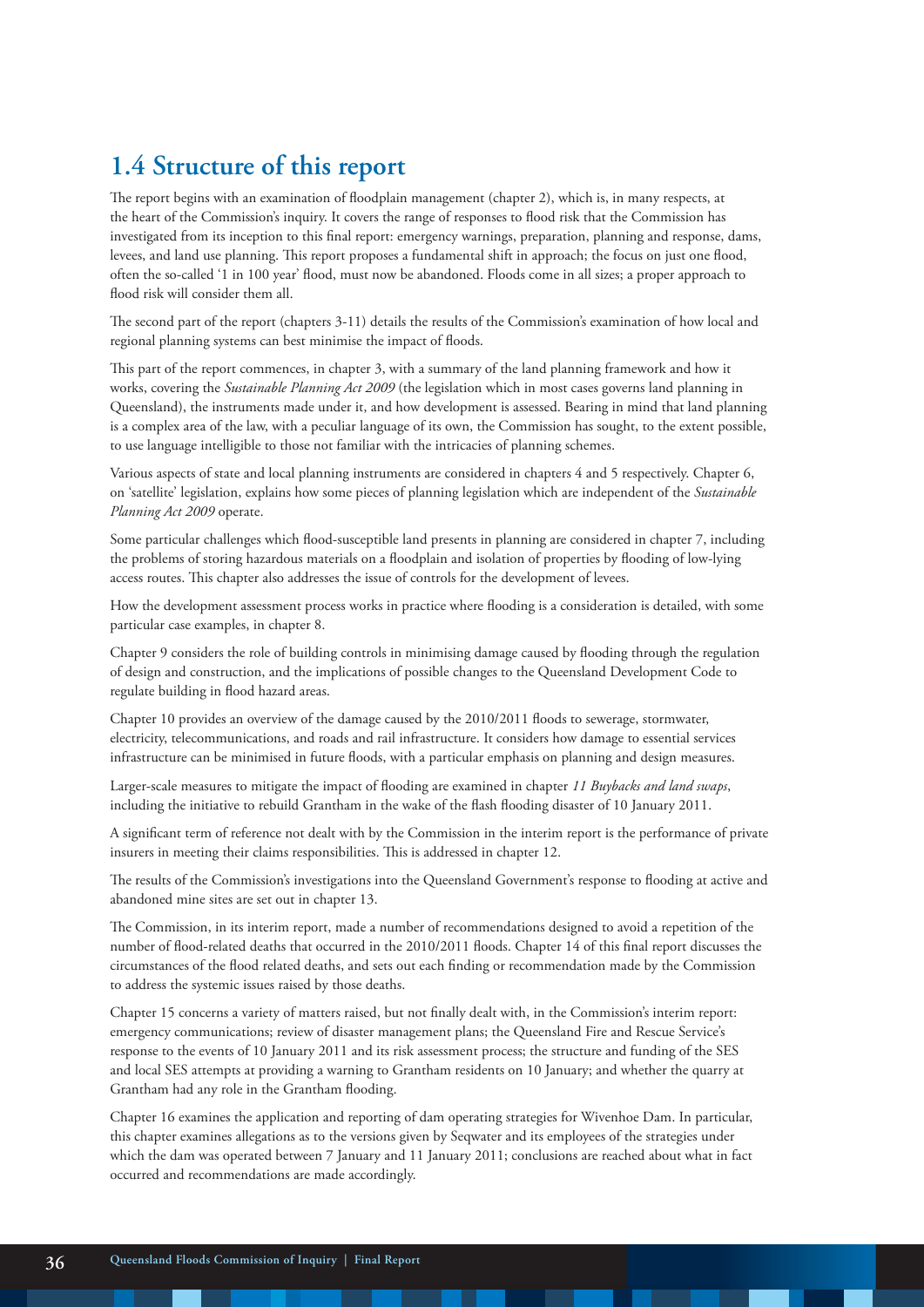# **1.4 Structure of this report**

The report begins with an examination of floodplain management (chapter 2), which is, in many respects, at the heart of the Commission's inquiry. It covers the range of responses to flood risk that the Commission has investigated from its inception to this final report: emergency warnings, preparation, planning and response, dams, levees, and land use planning. This report proposes a fundamental shift in approach; the focus on just one flood, often the so-called '1 in 100 year' flood, must now be abandoned. Floods come in all sizes; a proper approach to flood risk will consider them all.

The second part of the report (chapters 3-11) details the results of the Commission's examination of how local and regional planning systems can best minimise the impact of floods.

This part of the report commences, in chapter 3, with a summary of the land planning framework and how it works, covering the *Sustainable Planning Act 2009* (the legislation which in most cases governs land planning in Queensland), the instruments made under it, and how development is assessed. Bearing in mind that land planning is a complex area of the law, with a peculiar language of its own, the Commission has sought, to the extent possible, to use language intelligible to those not familiar with the intricacies of planning schemes.

Various aspects of state and local planning instruments are considered in chapters 4 and 5 respectively. Chapter 6, on 'satellite' legislation, explains how some pieces of planning legislation which are independent of the *Sustainable Planning Act 2009* operate.

Some particular challenges which flood-susceptible land presents in planning are considered in chapter 7, including the problems of storing hazardous materials on a floodplain and isolation of properties by flooding of low-lying access routes. This chapter also addresses the issue of controls for the development of levees.

How the development assessment process works in practice where flooding is a consideration is detailed, with some particular case examples, in chapter 8.

Chapter 9 considers the role of building controls in minimising damage caused by flooding through the regulation of design and construction, and the implications of possible changes to the Queensland Development Code to regulate building in flood hazard areas.

Chapter 10 provides an overview of the damage caused by the 2010/2011 floods to sewerage, stormwater, electricity, telecommunications, and roads and rail infrastructure. It considers how damage to essential services infrastructure can be minimised in future floods, with a particular emphasis on planning and design measures.

Larger-scale measures to mitigate the impact of flooding are examined in chapter *11 Buybacks and land swaps*, including the initiative to rebuild Grantham in the wake of the flash flooding disaster of 10 January 2011.

A significant term of reference not dealt with by the Commission in the interim report is the performance of private insurers in meeting their claims responsibilities. This is addressed in chapter 12.

The results of the Commission's investigations into the Queensland Government's response to flooding at active and abandoned mine sites are set out in chapter 13.

The Commission, in its interim report, made a number of recommendations designed to avoid a repetition of the number of flood-related deaths that occurred in the 2010/2011 floods. Chapter 14 of this final report discusses the circumstances of the flood related deaths, and sets out each finding or recommendation made by the Commission to address the systemic issues raised by those deaths.

Chapter 15 concerns a variety of matters raised, but not finally dealt with, in the Commission's interim report: emergency communications; review of disaster management plans; the Queensland Fire and Rescue Service's response to the events of 10 January 2011 and its risk assessment process; the structure and funding of the SES and local SES attempts at providing a warning to Grantham residents on 10 January; and whether the quarry at Grantham had any role in the Grantham flooding.

Chapter 16 examines the application and reporting of dam operating strategies for Wivenhoe Dam. In particular, this chapter examines allegations as to the versions given by Seqwater and its employees of the strategies under which the dam was operated between 7 January and 11 January 2011; conclusions are reached about what in fact occurred and recommendations are made accordingly.